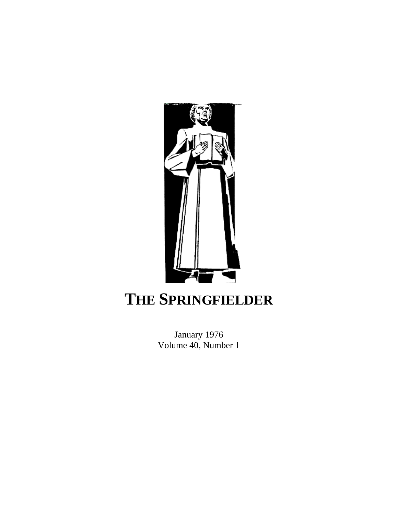

## **THE SPRINGFIELDER**

January 1976 Volume 40, Number 1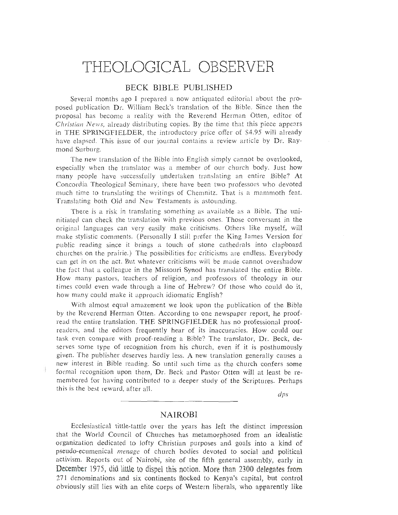# THEOLOGICAL OBSERVER<br>BECK BIBLE PUBLISHED

Several months ago I prepared a now antiquated editorial about the proposed publication Dr. William Beck's translation of the Bible. Since then the proposal has become a reality with the Reverend Herman Otten, editor of *Christian News*, already distributing copies. By the time that this piece appears in THE SPRINGFIELDER, the introductory price offer of \$4.95 will already have elapsed. This issue of our journal contains a review article by Dr. Ravmond Surburg.

The new translation of the Bible into English simply cannot be overlooked, especially when the translator was a member of our church body. Just how many people have successfully undertaken translating an entire Bible? At Concordia Theological Seminary, there have been two professors who devoted much time to translating the writings of Chemnitz. That is a mammoth feat. Translating both Old and New Testaments is astounding.

There is a risk in translating something as available as a Bible. The uninitiated can check the translation with previous ones. Those conversant in the original languages can very easily make criticisms. Others like myself, will make stylistic comments. (Personally I still prefer the King James Version for public reading since it brings a touch of stone cathedrals into clapboard churches on the prairie.) The possibilities for criticisms are endless. Everybody can get in on the act. But whatever criticisms will be made cannot overshadow the fact that a colleague in the Missouri Synod has translated the entire Bible. How many pastors, teachers of religion, and professors of theology in our times could even wade through a line of Hebrew? Of those who could do it, how many could make it approach idiomatic English?

With almost equal amazement we look upon the publication of the Bible by the Reverend Herman Otten. According to one newspaper report, he proofread the entire translation. THE SPRINGFIELDER has no professional proofreaders, and the editors frequently hear of its inaccuracies. How could our task even compare with proof-reading a Bible? The translator, Dr. Beck, deserves some type of recognition from his church, even if it is posthumously given. The publisher deserves hardly less. A new translation generally causes a new interest in Bible reading. So until such time as the church confers some formal recognition upon them, Dr. Beck and Pastor Otten will at least be remembered for having contributed to a deeper study of the Scriptures. Perhaps this is the best reward, after all.  $\frac{dps}{dt}$ 

#### **NAIROBI**

this is the best I-eward, after all.

Ecclesiastical tittle-tattle over the years has left the distinct impression that the World Council of Churches has metamorphosed from an idealistic organization dedicated to lofty Christian purposes and goals into a kind of pseudo-ecumenical menage of church bodies devoted to social and political activism. Reports out of Nairobi, site of the fifth general assembly, early in December 1975, did little to dispel this notion. More than 2300 delegates from 271 denominations and six continents flocked to Kenya's capital, but control obviously still lies with an elite corps of Western liberals, who apparently like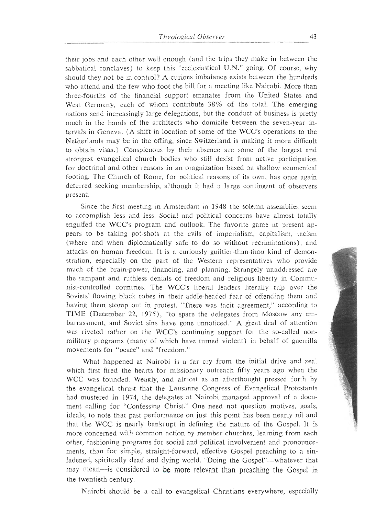their jobs and each other well enough (and the trips they make in between the sabbatical conclaves) to keep this "ecclesiastical U.N." going. Of course, why should they not be in control? A curious imbalance exists between the hundreds who attend and the few who foot the bill for a meeting like Nairobi. More than three-fourths of the financial support emanates from the United States and West Germany, each of whom contribute 38% of the total. The emerging nations send increasingly large delegations, but the conduct of business is pretty much in the hands of the architects who domicile between the seven-vear intervals in Geneva. (A shift in location of some of the WCC's operations to the Netherlands may be in the offing, since Switzerland is making it more difficult to obtain visas.) Conspicuous by their absence are some of the largest and strongest evangelical church bodies who still desist from active participation for doctrinal and other reasons in an oragnization based on shallow ecumenical footing. The Church of Rome, for political reasons of its own, has once again deferred seeking membership, although it had a large contingent of observers present.  ${\rm B}$ footing. The Church of Rome, for its own, has once again is one again if  $\alpha$ 

Since the first meeting in Amsterdam in 1948 the solemn assemblies seem to accomplish less and less. Social and political concerns have almost totally engulfed the WCC's program and outlook. The favorite game at present appears to be taking pot-shots at the evils of imperialism, capitalism, racism (where and when diplomatically safe to do so without recriminations), and attacks on human freedom. It is a curiously guiltier-than-thou kind of demonstration, especially on the part of the Western representatives who provide much of the brain-power, financing, and planning. Strangely unaddressed are the rampant and ruthless denials of freedom and religious liberty in Commumist-controlled countries. The WCC's liberal leaders literally trip over the Soviets' flowing black robes in their addle-headed fear of offending them and having them stomp out in protest. "There was tacit agreement," according to TIME (December 22, 1975), "to spare the delegates from Moscow any embarrassment, and Soviet sins have gone unnoticed." A great deal of attention was riveted rather on the WCC's continuing support for the so-called nonmilitary programs (many of which have turned violent) in behalf of guerrilla movements for "peace" and "freedom."

What happened at Nairobi is a far cry from the initial drive and zeal which first fired the hearts for missionary outreach fifty years ago when the WCC was founded. Weakly, and almost as an afterthought pressed forth by the evangelical thrust that the Lausanne Congress of Evangelical Protestants had mustered in 1974, the delegates at Nairobi managed approval of a document calling for "Confessing Christ." One need not question motives, goals, ideals, to note that past performance on just this point has been nearly nil and that the WCC is nearly bankrupt in defining the nature of the Gospel. It is more concerned with common action by member churches, learning from each other, fashioning programs for social and political involvement and pronouncements, than for simple, straight-forward, effective Gospel preaching to a sinladened, spiritually dead and dying world. "Doing the Gospel"---whatever that may mean—is considered to be more relevant than preaching the Gospel in the twentieth century.

Nairobi should be a call to evangelical Christians everywhere, especially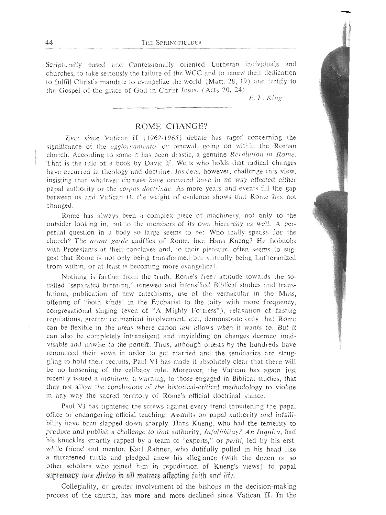Scripturally based and Confessionally oriented Lutheran individuals and churches, to take seriously the failure of the WCC and to renew their dedication to fulfill Christ's mandate to evangelize the world (Matt.  $28$ , 19) and testify to the Gospel of the grace of God in Christ Jesus. (Acts 20, 24)  $E. F. Klug$ 

#### ROME CHANGE?

Ever since Vatican II (1962-1965) debate has raged concerning the significance of the *aggiornamento*, or renewal, going on within the Roman church. According to some it has been drastic, a genuine *Revolution in Rome*.<br>That is the title of a book by David F. Wells who holds that radical changes have occurred in theology and doctrine. Insiders, however, challenge this view, insisting that whatever changes have occurred have in no way affected either papal authority or the *corpus doctrinae*. As more years and events fill the gap between us and Vatican II, the weight of evidence shows that Rome has not changed. between rlas and Vntichn **11, and Vntichn shows that Rome has not evidence shows that Rome has not evidence shows that Rome has not evidence shows that Rome has no the weight of evidence shows that Rome has no the weight o** 

Rome has always been a complex piece of machinery, not only to the outsider looking in, but to the members of its own hierarchy as well. A perpetual question in a body so large seems to be: Who really speaks for the church? The avant garde gadflies of Rome, like Hans Kueng? He hobnobs with Protestants at their conclaves and, to their pleasure, often seems to suggest that Rome is not only being transformed but virtually being Lutheranized from within, or at least is becoming more evangelical.

Nothing is farther from the truth. Rome's freer attitude towards the socalled "separated brethren," renewed and intensified Biblical studies and translations, publication of new catechisms, use of the vernacular in the Mass, offering of "both kinds" in the Eucharist to the laity with more frequency, congregational singing (even of "A Mighty Fortress"), relaxation of fasting regulations, greater ecumenical involvement, etc., demonstrate only that Rome can be flexible in the areas where canon law allows when it wants to. But it can also be completely intransigent and unyielding on changes deemed inadvisable and unwise to the pontiff. Thus, although priests by the hundreds have renounced their vows in order to get married and the seminaries are struggling to hold their recruits, Paul VI has made it absolutely clear that there will be no loosening of the celibacy rule. Moreover, the Vatican has again just recently issued a *monitum*, a warning, to those engaged in Biblical studies, that they not allow the conclusions of the historical-critical methodology to violate in any way the sacred territory of Rome's official doctrinal stance.

Paul VI has tightened the screws against every trend threatening the papal office or endangering official teaching. Assaults on papal authority and infallibility have been slapped down sharply. Hans Kueng, who had the temerity to produce and publish a challenge to that authority, Infallibility? An Inquiry, had his knuckles smartly rapped by a team of "experts," or *periti*, led by his erstwhile friend and mentor, Karl Rahner, who dutifully pulled in his head like a threatened turtle and pledged anew his allegiance (with the dozen or so other scholars who joined him in repudiation of Kueng's views) to papal supremacy *iure divino* in all matters affecting faith and life.

Collegiality, or greater involvement of the bishops in the decision-making process of the church, has more and more declined since Vatican II. In the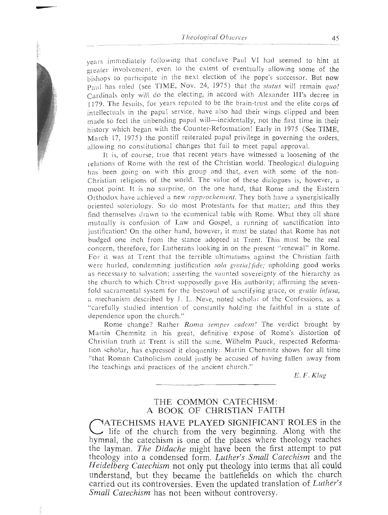vears immediately following that conclave Paul VI had seemed to hint at greater involvement, even to the extent of eventually allowing some of the bishops to participate in the next election of the pope's successor. But now Paul has ruled (see TIME, Nov. 24, 1975) that the status will remain  $auo!$ Cardinals only will do the electing, in accord with Alexander III's decree in 1179. The Jesuits, for years reputed to be the brain-trust and the elite corps of intellectuals in the papal service, have also had their wings clipped and been made to feel the unbending papal will—incidentally, not the first time in their history which began with the Counter-Reformation! Early in 1975 (See TIME. March 17, 1975) the pontiff reiterated papal privilege in governing the orders. allowing no constitutional changes that fail to meet papal approval.

It is, of course, true that recent years have witnessed a loosening of the relations of Rome with the rest of the Christian world. Theological dialoguing has been going on with this group and that, even with some of the non-Christian religions of the world. The value of these dialogues is, however, a moot point. It is no surprise, on the one hand, that Rome and the Eastern Orthodox have achieved a new *rapprochement*. They both have a synergistically oriented soteriology. So do most Protestants for that matter; and thus they find themselves drawn to the ecumenical table with Rome. What they all share mutually is confusion of Law and Gospel, a running of sanctification into justification! On the other hand, however, it must be stated that Rome has not mutually is configured. This must be the real budged one inch from the standard at Trent. This must be the real concern, therefore, for Lutherans looking in on the present "renewal" in Rome. For it was at Trent that the terrible ultimatums against the Christian faith were hurled, condemning justification *sola gratial fide*; upholding good works as necessary to salvation; asserting the vaunted sovereignty of the hierarchy as the church to which Christ supposedly gave His authority; affirming the sevenfold sacramental system for the bestowal of sanctifying grace, or gratia infusa, a mechanism described by J. L. Neve, noted scholar of the Confessions, as a for the brandship described by J. L. Neve, hoted scholar of the Comessions, as a carefully studied intention of constantly holding the faithful in a state of dependence upon the church."<br>"Rome change? Rather *Roma semper eadem!* The verdict brought by

Martin Chemnitz in his great, definitive expose of Rome's distortion of Christian truth at Trent is still the same. Wilhelm Pauck, respected Reformation scholar, has expressed it eloquently: Martin Chemnitz shows for all time Characterian, has expressed at elequency. Martin Cheminiz shows for an three that Koman Camoneshi could justly be accused of having famen away from the teachings and practices of the ancient church."<br> $E.F. Klug$ 

### THE COMMON CATECHISM: A BOOK OF CHRISTIAN FAITH

MATECHISMS HAVE PLAYED SIGNIFICANT ROLES in the life of the church from the very beginning. Along with the hymnal, the catechism is one of the places where theology reaches the layman. The Didache might have been the first attempt to put he layman, *the Didache* might have been the lifst attempt to put<br>theology into a condensed form, *Lyther's Small Categhians* and the theology fillo a condensed form. *Lutner's Small Calectism* and the *Heidalberg Catechism* not only with the forms that all could Heidelberg Catechism not only put theology into terms that all could understand, but they became the battlefields on which the church carried out its controversies. Even the updated translation of Luther's Small Catechism has not been without controversy.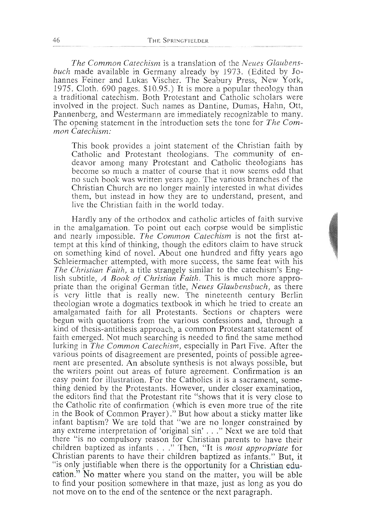The Common Catechism is a translation of the Neues Glaubensbuch made available in Germany already by 1973. (Edited by Johannes Feiner and Lukas Vischer. The Seabury Press, New York, 1975. Cloth. 690 pages.  $$10.95$ .) It is more a popular theology than a traditional catechism. Both Protestant and Catholic scholars were involved in the project. Such names as Dantine, Dumas, Hahn, Ott, Pannenberg, and Westermann are immediately recognizable to many. The opening statement in the introduction sets the tone for The Com $mon$  Catechism: The opening statement in the introduction sets the tone for *The Com-*

This book <sub>J</sub> Catholic and Protestant theologians. The community of en-<br>deavor among many Protestant and Catholic theologians has become so much a matter of course that it now seems odd that no such book was written years ago. The various branches of the Christian Church are no longer mainly interested in what divides them, but instead in how they are to understand, present, and live the Christian faith in the world today.  $t_{\rm s}$  instead in how the understand, present, and  $p$  are to understand, present, and  $p$ 

Hardly any of the orthodox and catholic ar in the amalgamation. To point out each corpse would be simplistic and nearly impossible. The Common Catechism is not the first attempt at this kind of thinking, though the editors claim to have struck on something kind of novel. About one hundred and fifty years ago Schleiermacher attempted, with more success, the same feat with his The Christian Faith, a title strangely similar to the catechism's English subtitle, A Book of Christian Faith. This is much more appropriate than the original German title, *Neues Glaubensbuch*, as there is very little that is really new. The nineteenth century Berlin theologian wrote a dogmatics textbook in which he tried to create an amalgamated faith for all Protestants. Sections or chapters were begun with quotations from the various confessions and, through a kind of thesis-antithesis approach, a common Protestant statement of faith emerged. Not much searching is needed to find the same method lurking in The Common Catechism, especially in Part Five. After the various points of disagreement are presented, points of possible agreement are presented. An absolute synthesis is not always possible, but the writers point out areas of future agreement. Confirmation is an easy point for illustration. For the Catholics it is a sacrament, something denied by the Protestants. However, under closer examination, the editors find that the Protestant rite "shows that it is very close to the Catholic rite of confirmation (which is even more true of the rite in the Book of Common Prayer)." But how about a sticky matter like the Catholic rite of containing the Catholic rite of the confirmation of the right infant baptism? We are told that "we are no longer constrained by  $\frac{1}{2}$  any extreme interpretation of 'original sin'  $\ldots$ " Next we are told that there "is no compulsory reason for Christian parents to have their ance is no compaisony reason for Christian parents to have their<br>children baptized as infants . . ." Then. "It is *most appropriate* for Christian parents to have their children baptized as infants." But, it "is only justifiable when there is the opportunity for a Christian education." No matter where you stand on the matter, you will be able to find your position somewhere in that maze, just as long as you do  $\frac{1}{2}$  cation. Somewhere in that make, just as long as you as not move on to the end of the sentence or the next paragraph. to find your position somewhere in the maximum puring approximation of the maximum puring as  $\frac{1}{2}$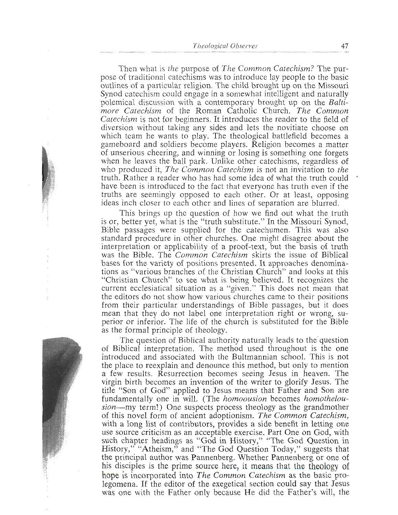Then what is *the* purpose of *The Common Catechism?* The purpose of traditional catechisms was to introduce lay people to the basic outlines of a particular religion. The child brought up on the Missouri Synod catechism could engage in a somewhat intelligent and naturally polemical discussion with a contemporary brought up on the *Balfi*more Catechism of the Roman Catholic Church. The Common Catechism is not for beginners. It introduces the reader to the field of diversion without taking any sides and lets the novitiate choose on which team he wants to play. The theological battlefield becomes a gameboard and soldiers become players. Religion becomes a matter of unserious cheering, and winning or losing is something one forgets when he leaves the ball park. Unlike other catechisms, regardless of who produced it, *The Common Catechism* is not an invitation to the truth. Rather a reader who has had some idea of what the truth could have been is introduced to the fact that everyone has truth even if the truths are seemingly opposed to each other. Or at least, opposing ideas inch closer to each other and lines of separation are blurred.

This brings up the question of how we find out what the truth is or, better yet, what is the "truth substitute." In the Missouri Synod, Bible passages were supplied for the catechumen. This was also standard procedure in other churches. One might disagree about the interpretation or applicability of a proof-text, but the basis of truth was the Bible. The Common Catechism skirts the issue of Biblical bases for the variety of positions presented. It approaches denominations as "various branches of the Christian Church" and looks at this "Christian Church" to see what js being believed. It recognizes the current ecclesiatical situation as a "given." This does not mean that the editors do not show how various churches came to their positions from their particular understandings of Bible passages, but it does mean that they do not label one interpretation right or wrong, superior or inferior. The life of the church is substituted for the Bible as the formal principle of theology.

The question of Biblical authority naturally leads to the'question of Biblical interpretation. The method used throughout is the one introduced and associated with the Bultmannian school. This is not the place to reexplain and denounce this method, but only to mention a few results. Resurrection becomes seeing Jesus in heaven. The virgin birth becomes an invention of the writer to glorify Jesus. The title "Son of God" applied to Jesus means that Father and Son are fundamentally one in will. (The *homoousion* becomes *homothelou*sion-my term!) One suspects process theology as the grandmother of this novel form of ancient adoptionism. The Common Catechism, with a long list of contributors, provides a side benefit in letting one use source criticism as an acceptable exercise. Part One on God, with such chapter headings as "God in History," "The God Question in History," "Atheism," and "The God Question Today," suggests that the principaI author was Pannenberg. Whether Pannenberg or one of his disciples is the prime source here, it **means that the** theology of hope is incorporated into *The Common Catechism* as the basic prolegomena. If the editor of the exegetical section could say that Jesus was one with the Father only because He did the Father's will, the